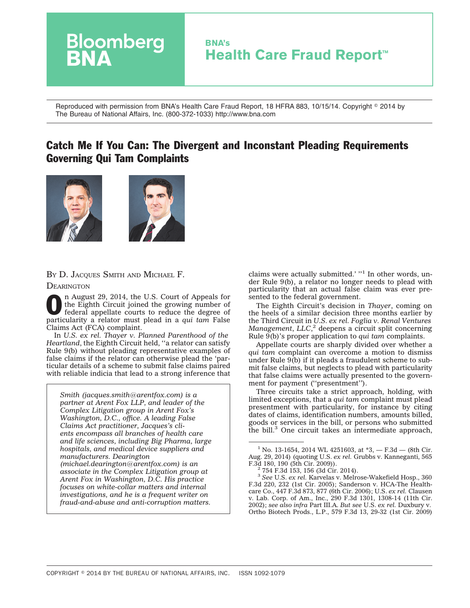

Reproduced with permission from BNA's Health Care Fraud Report, 18 HFRA 883, 10/15/14. Copyright © 2014 by The Bureau of National Affairs, Inc. (800-372-1033) http://www.bna.com

# Catch Me If You Can: The Divergent and Inconstant Pleading Requirements Governing Qui Tam Complaints





BY D. JACQUES SMITH AND MICHAEL F.

**DEARINGTON** 

In August 29, 2014, the U.S. Court of Appeals for<br>the Eighth Circuit joined the growing number of<br>federal appellate courts to reduce the degree of<br>portious appellate court of the degree of the Eighth Circuit joined the growing number of federal appellate courts to reduce the degree of particularity a relator must plead in a *qui tam* False Claims Act (FCA) complaint.

In *U.S. ex rel. Thayer v. Planned Parenthood of the Heartland*, the Eighth Circuit held, ''a relator can satisfy Rule 9(b) without pleading representative examples of false claims if the relator can otherwise plead the 'particular details of a scheme to submit false claims paired with reliable indicia that lead to a strong inference that

*Smith (jacques.smith@arentfox.com) is a partner at Arent Fox LLP, and leader of the Complex Litigation group in Arent Fox's Washington, D.C., office. A leading False Claims Act practitioner, Jacques's clients encompass all branches of health care and life sciences, including Big Pharma, large hospitals, and medical device suppliers and manufacturers. Dearington (michael.dearington@arentfox.com) is an associate in the Complex Litigation group at Arent Fox in Washington, D.C. His practice focuses on white-collar matters and internal investigations, and he is a frequent writer on fraud-and-abuse and anti-corruption matters.*

claims were actually submitted.' "<sup>1</sup> In other words, under Rule 9(b), a relator no longer needs to plead with particularity that an actual false claim was ever presented to the federal government.

The Eighth Circuit's decision in *Thayer*, coming on the heels of a similar decision three months earlier by the Third Circuit in *U.S. ex rel. Foglia v. Renal Ventures Management*, *LLC*, <sup>2</sup> deepens a circuit split concerning Rule 9(b)'s proper application to *qui tam* complaints.

Appellate courts are sharply divided over whether a *qui tam* complaint can overcome a motion to dismiss under Rule 9(b) if it pleads a fraudulent scheme to submit false claims, but neglects to plead with particularity that false claims were actually presented to the government for payment (''presentment'').

Three circuits take a strict approach, holding, with limited exceptions, that a *qui tam* complaint must plead presentment with particularity, for instance by citing dates of claims, identification numbers, amounts billed, goods or services in the bill, or persons who submitted the bill.<sup>3</sup> One circuit takes an intermediate approach,

<sup>3</sup> *See* U.S. *ex rel.* Karvelas v. Melrose-Wakefield Hosp., 360 F.3d 220, 232 (1st Cir. 2005); Sanderson v. HCA-The Healthcare Co., 447 F.3d 873, 877 (6th Cir. 2006); U.S. *ex rel.* Clausen v. Lab. Corp. of Am., Inc., 290 F.3d 1301, 1308-14 (11th Cir. 2002); *see also infra* Part III.A. *But see* U.S. *ex rel.* Duxbury v. Ortho Biotech Prods., L.P., 579 F.3d 13, 29-32 (1st Cir. 2009)

<sup>&</sup>lt;sup>1</sup> No. 13-1654, 2014 WL 4251603, at  $*3$ , - F.3d - (8th Cir. Aug. 29, 2014) (quoting U.S. *ex rel.* Grubbs v. Kanneganti, 565

 $2754$  F.3d 153, 156 (3d Cir. 2014).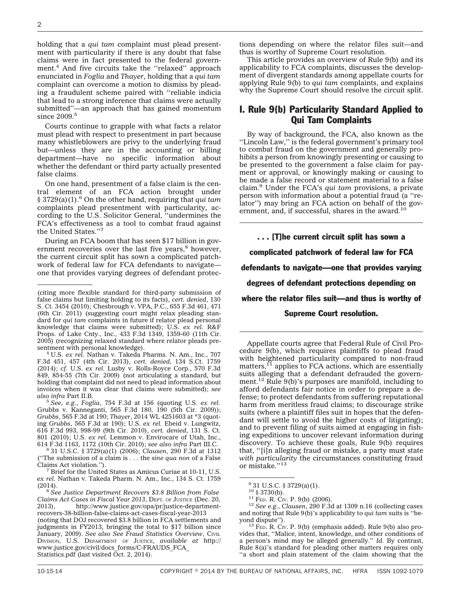holding that a *qui tam* complaint must plead presentment with particularity if there is any doubt that false claims were in fact presented to the federal government.<sup>4</sup> And five circuits take the "relaxed" approach enunciated in *Foglia* and *Thayer*, holding that a *qui tam* complaint can overcome a motion to dismiss by pleading a fraudulent scheme paired with ''reliable indicia that lead to a strong inference that claims were actually submitted''—an approach that has gained momentum since  $2009.^{\rm 5}$ 

Courts continue to grapple with what facts a relator must plead with respect to presentment in part because many whistleblowers are privy to the underlying fraud but—unless they are in the accounting or billing department—have no specific information about whether the defendant or third party actually presented false claims.

On one hand, presentment of a false claim is the central element of an FCA action brought under § 3729(a)(1).6 On the other hand, requiring that *qui tam* complaints plead presentment with particularity, according to the U.S. Solicitor General, ''undermines the FCA's effectiveness as a tool to combat fraud against the United States."

During an FCA boom that has seen \$17 billion in government recoveries over the last five years, $8$  however, the current circuit split has sown a complicated patchwork of federal law for FCA defendants to navigate one that provides varying degrees of defendant protec-

sentment with personal knowledge). <sup>4</sup> U.S. *ex rel.* Nathan v. Takeda Pharms. N. Am., Inc., 707 F.3d 451, 457 (4th Cir. 2013), *cert. denied*, 134 S.Ct. 1759 (2014); *cf.* U.S. *ex rel.* Lusby v. Rolls-Royce Corp., 570 F.3d 849, 854-55 (7th Cir. 2009) (not articulating a standard, but holding that complaint did not need to plead information about invoices when it was clear that claims were submitted); *see also infra* Part II.B. <sup>5</sup> *See, e.g.*, *Foglia*, 754 F.3d at 156 (quoting U.S. *ex rel.*

Grubbs v. Kanneganti, 565 F.3d 180, 190 (5th Cir. 2009)); *Grubbs*, 565 F.3d at 190; *Thayer*, 2014 WL 4251603 at \*3 (quoting *Grubbs*, 565 F.3d at 190); U.S. *ex rel.* Ebeid v. Lungwitz, 616 F.3d 993, 998-99 (9th Cir. 2010), *cert. denied*, 131 S. Ct. 801 (2010); U.S. *ex rel.* Lemmon v. Envirocare of Utah, Inc.,

614 F.3d 1163, 1172 (10th Cir. 2010); *see also infra* Part III.C. <sup>6</sup> 31 U.S.C. § 3729(a)(1) (2006); *Clausen*, 290 F.3d at 1312 (''The submission of a claim is . . . the *sine qua non* of a False

 $^7$  Brief for the United States as Amicus Curiae at 10-11, U.S. *ex rel.* Nathan v. Takeda Pharm. N. Am., Inc., 134 S. Ct. 1759

<sup>8</sup> See Justice Department Recovers \$3.8 Billion from False *Claims Act Cases in Fiscal Year 2013, DEPT. OF JUSTICE (Dec. 20, 2013),* http://www.justice.gov/opa/pr/justice-departmenthttp://www.justice.gov/opa/pr/justice-department[recovers-38-billion-false-claims-act-cases-fiscal-year-2013](http://www.justice.gov/opa/pr/justice-department-recovers-38-billion-false-claims-act-cases-fiscal-year-2013) (noting that DOJ recovered \$3.8 billion in FCA settlements and judgments in FY2013, bringing the total to \$17 billion since January, 2009). See also See Fraud Statistics Overview, CIVIL DIVISION, U.S. DEPARTMENT OF JUSTICE, *available at* [http://](http://www.justice.gov/civil/docs_forms/C-FRAUDS_FCA_Statistics.pdf) [www.justice.gov/civil/docs\\_forms/C-FRAUDS\\_FCA\\_](http://www.justice.gov/civil/docs_forms/C-FRAUDS_FCA_Statistics.pdf) [Statistics.pdf](http://www.justice.gov/civil/docs_forms/C-FRAUDS_FCA_Statistics.pdf) (last visited Oct. 2, 2014).

tions depending on where the relator files suit—and thus is worthy of Supreme Court resolution.

This article provides an overview of Rule 9(b) and its applicability to FCA complaints, discusses the development of divergent standards among appellate courts for applying Rule 9(b) to *qui tam* complaints, and explains why the Supreme Court should resolve the circuit split.

### I. Rule 9(b) Particularity Standard Applied to Qui Tam Complaints

By way of background, the FCA, also known as the "Lincoln Law," is the federal government's primary tool to combat fraud on the government and generally prohibits a person from knowingly presenting or causing to be presented to the government a false claim for payment or approval, or knowingly making or causing to be made a false record or statement material to a false claim.9 Under the FCA's *qui tam* provisions, a private person with information about a potential fraud (a ''relator'') may bring an FCA action on behalf of the government, and, if successful, shares in the award.<sup>10</sup>

. . . [T]he current circuit split has sown a complicated patchwork of federal law for FCA defendants to navigate—one that provides varying degrees of defendant protections depending on where the relator files suit—and thus is worthy of Supreme Court resolution.

Appellate courts agree that Federal Rule of Civil Procedure 9(b), which requires plaintiffs to plead fraud with heightened particularity compared to non-fraud matters, $^{11}$  applies to FCA actions, which are essentially suits alleging that a defendant defrauded the government.<sup>12</sup> Rule 9(b)'s purposes are manifold, including to afford defendants fair notice in order to prepare a defense; to protect defendants from suffering reputational harm from meritless fraud claims; to discourage strike suits (where a plaintiff files suit in hopes that the defendant will settle to avoid the higher costs of litigating); and to prevent filing of suits aimed at engaging in fishing expeditions to uncover relevant information during discovery. To achieve these goals, Rule 9(b) requires that, ''[i]n alleging fraud or mistake, a party must state *with particularity* the circumstances constituting fraud or mistake."<sup>13</sup>

<sup>(</sup>citing more flexible standard for third-party submission of false claims but limiting holding to its facts), *cert. denied*, 130 S. Ct. 3454 (2010); Chesbrough v. VPA, P.C., 655 F.3d 461, 471 (6th Cir. 2011) (suggesting court might relax pleading standard for *qui tam* complaints in future if relator plead personal knowledge that claims were submitted); U.S. *ex rel.* R&F Props. of Lake Cnty., Inc., 433 F.3d 1349, 1359-60 (11th Cir. 2005) (recognizing relaxed standard where relator pleads pre-

 $^{9}$  31 U.S.C. § 3729(a)(1).<br><sup>10</sup> § 3730(b).

<sup>10</sup> § 3730(b). <sup>11</sup> FED. R. CIV. P. 9(b) (2006). <sup>12</sup> *See e.g.*, *Clausen*, 290 F.3d at 1309 n.16 (collecting cases and noting that Rule 9(b)'s applicability to *qui tam* suits is ''be-

 $13$  FED. R. CIV. P. 9(b) (emphasis added). Rule 9(b) also provides that, ''Malice, intent, knowledge, and other conditions of a person's mind may be alleged generally.'' *Id.* By contrast, Rule 8(a)'s standard for pleading other matters requires only ''a short and plain statement of the claim showing that the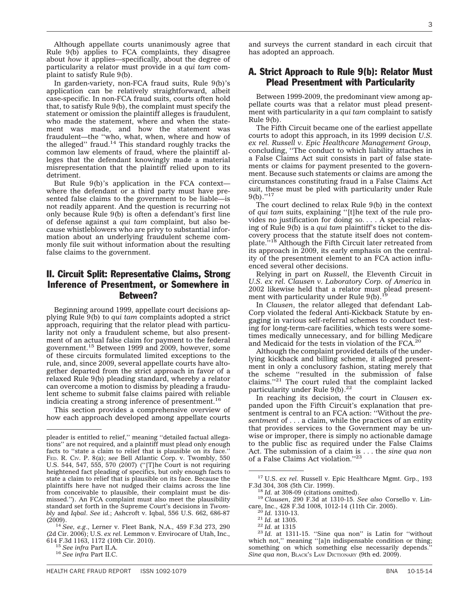Although appellate courts unanimously agree that Rule 9(b) applies to FCA complaints, they disagree about *how* it applies—specifically, about the degree of particularity a relator must provide in a *qui tam* complaint to satisfy Rule 9(b).

In garden-variety, non-FCA fraud suits, Rule 9(b)'s application can be relatively straightforward, albeit case-specific. In non-FCA fraud suits, courts often hold that, to satisfy Rule 9(b), the complaint must specify the statement or omission the plaintiff alleges is fraudulent, who made the statement, where and when the statement was made, and how the statement was fraudulent—the ''who, what, when, where and how of the alleged" fraud.<sup>14</sup> This standard roughly tracks the common law elements of fraud, where the plaintiff alleges that the defendant knowingly made a material misrepresentation that the plaintiff relied upon to its detriment.

But Rule 9(b)'s application in the FCA context where the defendant or a third party must have presented false claims to the government to be liable—is not readily apparent. And the question is recurring not only because Rule 9(b) is often a defendant's first line of defense against a *qui tam* complaint, but also because whistleblowers who are privy to substantial information about an underlying fraudulent scheme commonly file suit without information about the resulting false claims to the government.

## II. Circuit Split: Representative Claims, Strong Inference of Presentment, or Somewhere in Between?

Beginning around 1999, appellate court decisions applying Rule 9(b) to *qui tam* complaints adopted a strict approach, requiring that the relator plead with particularity not only a fraudulent scheme, but also presentment of an actual false claim for payment to the federal government.15 Between 1999 and 2009, however, some of these circuits formulated limited exceptions to the rule, and, since 2009, several appellate courts have altogether departed from the strict approach in favor of a relaxed Rule 9(b) pleading standard, whereby a relator can overcome a motion to dismiss by pleading a fraudulent scheme to submit false claims paired with reliable indicia creating a strong inference of presentment.<sup>16</sup>

This section provides a comprehensive overview of how each approach developed among appellate courts

and surveys the current standard in each circuit that has adopted an approach.

### A. Strict Approach to Rule 9(b): Relator Must Plead Presentment with Particularity

Between 1999-2009, the predominant view among appellate courts was that a relator must plead presentment with particularity in a *qui tam* complaint to satisfy Rule 9(b).

The Fifth Circuit became one of the earliest appellate courts to adopt this approach, in its 1999 decision *U.S. ex rel. Russell v. Epic Healthcare Management Group*, concluding, ''The conduct to which liability attaches in a False Claims Act suit consists in part of false statements or claims for payment presented to the government. Because such statements or claims are among the circumstances constituting fraud in a False Claims Act suit, these must be pled with particularity under Rule 9(b).''17

The court declined to relax Rule 9(b) in the context of *qui tam* suits, explaining ''[t]he text of the rule provides no justification for doing so. . . . A special relaxing of Rule 9(b) is a *qui tam* plaintiff's ticket to the discovery process that the statute itself does not contem-plate.''18 Although the Fifth Circuit later retreated from its approach in 2009, its early emphasis on the centrality of the presentment element to an FCA action influenced several other decisions.

Relying in part on *Russell*, the Eleventh Circuit in *U.S. ex rel. Clausen v. Laboratory Corp. of America* in 2002 likewise held that a relator must plead presentment with particularity under Rule  $9(b)$ .<sup>1</sup>

In *Clausen*, the relator alleged that defendant Lab-Corp violated the federal Anti-Kickback Statute by engaging in various self-referral schemes to conduct testing for long-term-care facilities, which tests were sometimes medically unnecessary, and for billing Medicare and Medicaid for the tests in violation of the FCA.<sup>20</sup>

Although the complaint provided details of the underlying kickback and billing scheme, it alleged presentment in only a conclusory fashion, stating merely that the scheme ''resulted in the submission of false claims.''21 The court ruled that the complaint lacked particularity under Rule  $9(b)$ .<sup>22</sup>

In reaching its decision, the court in *Clausen* expanded upon the Fifth Circuit's explanation that presentment is central to an FCA action: ''Without the *presentment* of . . . a claim, while the practices of an entity that provides services to the Government may be unwise or improper, there is simply no actionable damage to the public fisc as required under the False Claims Act. The submission of a claim is . . . the *sine qua non* of a False Claims Act violation."<sup>23</sup>

pleader is entitled to relief,'' meaning ''detailed factual allegations'' are not required, and a plaintiff must plead only enough facts to ''state a claim to relief that is plausible on its face.'' FED. R. CIV. P. 8(a); *see* Bell Atlantic Corp. v. Twombly, 550 U.S. 544, 547, 555, 570 (2007) (''[T]he Court is not requiring heightened fact pleading of specifics, but only enough facts to state a claim to relief that is plausible on its face. Because the plaintiffs here have not nudged their claims across the line from conceivable to plausible, their complaint must be dismissed.''). An FCA complaint must also meet the plausibility standard set forth in the Supreme Court's decisions in *Twombly* and *Iqbal*. *See id.*; Ashcroft v. Iqbal, 556 U.S. 662, 686-87

<sup>&</sup>lt;sup>14</sup> *See, e.g., Lerner v. Fleet Bank, N.A., 459 F.3d 273, 290* (2d Cir. 2006); U.S. *ex rel.* Lemmon v. Envirocare of Utah, Inc.,

<sup>614</sup> F.3d 1163, 1172 (10th Cir. 2010). <sup>15</sup> *See infra* Part II.A. <sup>16</sup> *See infra* Part II.C.

HEALTH CARE FRAUD REPORT ISSN 1092-1079 CHEATH CARE TRANSPORTED THE RESERVE THAT ISSN 10-15-14

<sup>&</sup>lt;sup>17</sup> U.S. *ex rel.* Russell v. Epic Healthcare Mgmt. Grp., 193 F.3d 304, 308 (5th Cir. 1999).

<sup>&</sup>lt;sup>18</sup> Id. at 308-09 (citations omitted).<br><sup>19</sup> *Clausen*, 290 F.3d at 1310-15. *See also* Corsello v. Lin-<br>care, Inc., 428 F.3d 1008, 1012-14 (11th Cir. 2005).

<sup>&</sup>lt;sup>20</sup> *Id.* 1310-13.<br>
<sup>21</sup> *Id.* at 1305.<br>
<sup>22</sup> *Id.* at 1315<br>
<sup>23</sup> *Id.* at 1311-15. "Sine qua non" is Latin for "without which not," meaning "[a]n indispensable condition or thing; something on which something else necessarily depends.'' *Sine qua non*, BLACK'S LAW DICTIONARY (9th ed. 2009).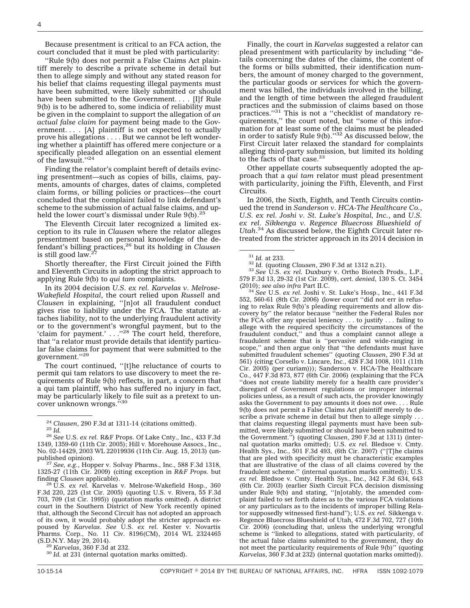Because presentment is critical to an FCA action, the court concluded that it must be pled with particularity:

''Rule 9(b) does not permit a False Claims Act plaintiff merely to describe a private scheme in detail but then to allege simply and without any stated reason for his belief that claims requesting illegal payments must have been submitted, were likely submitted or should have been submitted to the Government. . . . [I]f Rule 9(b) is to be adhered to, some indicia of reliability must be given in the complaint to support the allegation of *an actual false claim* for payment being made to the Government... [A] plaintiff is not expected to actually prove his allegations . . . . But we cannot be left wondering whether a plaintiff has offered mere conjecture or a specifically pleaded allegation on an essential element of the lawsuit."<sup>24</sup>

Finding the relator's complaint bereft of details evincing presentment—such as copies of bills, claims, payments, amounts of charges, dates of claims, completed claim forms, or billing policies or practices—the court concluded that the complaint failed to link defendant's scheme to the submission of actual false claims, and upheld the lower court's dismissal under Rule  $9(b)$ .<sup>25</sup>

The Eleventh Circuit later recognized a limited exception to its rule in *Clausen* where the relator alleges presentment based on personal knowledge of the de-fendant's billing practices,26 but its holding in *Clausen* is still good law.<sup>27</sup>

Shortly thereafter, the First Circuit joined the Fifth and Eleventh Circuits in adopting the strict approach to applying Rule 9(b) to *qui tam* complaints.

In its 2004 decision *U.S. ex rel. Karvelas v. Melrose-Wakefield Hospital*, the court relied upon *Russell* and *Clausen* in explaining, ''[n]ot all fraudulent conduct gives rise to liability under the FCA. The statute attaches liability, not to the underlying fraudulent activity or to the government's wrongful payment, but to the 'claim for payment.' . . .''28 The court held, therefore, that ''a relator must provide details that identify particular false claims for payment that were submitted to the government.''29

The court continued, ''[t]he reluctance of courts to permit qui tam relators to use discovery to meet the requirements of Rule 9(b) reflects, in part, a concern that a qui tam plaintiff, who has suffered no injury in fact, may be particularly likely to file suit as a pretext to uncover unknown wrongs."30

<sup>27</sup> See, e.g., Hopper v. Solvay Pharms., Inc., 588 F.3d 1318, 1325-27 (11th Cir. 2009) (citing exception in *R&F Props.* but

<sup>28</sup> U.S. *ex rel.* Karvelas v. Melrose-Wakefield Hosp., 360 F.3d 220, 225 (1st Cir. 2005) (quoting U.S. v. Rivera, 55 F.3d 703, 709 (1st Cir. 1995)) (quotation marks omitted). A district court in the Southern District of New York recently opined that, although the Second Circuit has not adopted an approach of its own, it would probably adopt the stricter approach espoused by *Karvelas*. *See* U.S. *ex rel.* Kester v. Novartis Pharms. Corp., No. 11 Civ. 8196(CM), 2014 WL 2324465 (S.D.N.Y. May 29, 2014). <sup>29</sup> *Karvelas*, 360 F.3d at 232. <sup>30</sup> *Id.* at 231 (internal quotation marks omitted).

Finally, the court in *Karvelas* suggested a relator can plead presentment with particularity by including ''details concerning the dates of the claims, the content of the forms or bills submitted, their identification numbers, the amount of money charged to the government, the particular goods or services for which the government was billed, the individuals involved in the billing, and the length of time between the alleged fraudulent practices and the submission of claims based on those practices."<sup>31</sup> This is not a "checklist of mandatory requirements,'' the court noted, but ''some of this information for at least some of the claims must be pleaded in order to satisfy Rule 9(b).''32 As discussed below, the First Circuit later relaxed the standard for complaints alleging third-party submission, but limited its holding to the facts of that case. $33$ 

Other appellate courts subsequently adopted the approach that a *qui tam* relator must plead presentment with particularity, joining the Fifth, Eleventh, and First Circuits.

In 2006, the Sixth, Eighth, and Tenth Circuits continued the trend in *Sanderson v. HCA-The Healthcare Co.*, *U.S. ex rel. Joshi v. St. Luke's Hospital, Inc.*, and *U.S. ex rel. Sikkenga v. Regence Bluecross Blueshield of Utah*. <sup>34</sup> As discussed below, the Eighth Circuit later retreated from the stricter approach in its 2014 decision in

<sup>34</sup> See U.S. ex rel. Joshi v. St. Luke's Hosp., Inc., 441 F.3d 552, 560-61 (8th Cir. 2006) (lower court ''did not err in refusing to relax Rule 9(b)'s pleading requirements and allow discovery by'' the relator because ''neither the Federal Rules nor the FCA offer any special leniency . . . to justify . . . failing to allege with the required specificity the circumstances of the fraudulent conduct,'' and thus a complaint cannot allege a fraudulent scheme that is ''pervasive and wide-ranging in scope,'' and then argue only that ''the defendants must have submitted fraudulent schemes'' (quoting *Clausen*, 290 F.3d at 561) (citing Corsello v. Lincare, Inc., 428 F.3d 1008, 1011 (11th Cir. 2005) (per curiam))); Sanderson v. HCA-The Healthcare Co., 447 F.3d 873, 877 (6th Cir. 2006) (explaining that the FCA ''does not create liability merely for a health care provider's disregard of Government regulations or improper internal policies unless, as a result of such acts, the provider knowingly asks the Government to pay amounts it does not owe. . . . Rule 9(b) does not permit a False Claims Act plaintiff merely to describe a private scheme in detail but then to allege simply . . . that claims requesting illegal payments must have been submitted, were likely submitted or should have been submitted to the Government.'') (quoting *Clausen*, 290 F.3d at 1311) (internal quotation marks omitted); U.S. *ex rel.* Bledsoe v. Cmty. Health Sys., Inc., 501 F.3d 493, (6th Cir. 2007) (''[T]he claims that are pled with specificity must be characteristic examples that are illustrative of the class of all claims covered by the fraudulent scheme.'' (internal quotation marks omitted)); U.S. *ex rel.* Bledsoe v. Cmty. Health Sys., Inc., 342 F.3d 634, 643 (6th Cir. 2003) (earlier Sixth Circuit FCA decision dismissing under Rule 9(b) and stating, "[n]otably, the amended complaint failed to set forth dates as to the various FCA violations or any particulars as to the incidents of improper billing Relator supposedly witnessed first-hand''); U.S. *ex rel.* Sikkenga v. Regence Bluecross Blueshield of Utah, 472 F.3d 702, 727 (10th Cir. 2006) (concluding that, unless the underlying wrongful scheme is ''linked to allegations, stated with particularity, of the actual false claims submitted to the government, they do not meet the particularity requirements of Rule 9(b)'' (quoting *Karvelas*, 360 F.3d at 232) (internal quotation marks omitted)).

<sup>24</sup> *Clausen*, 290 F.3d at 1311-14 (citations omitted). <sup>25</sup> *Id.* <sup>26</sup> *See* U.S. *ex rel.* R&F Props. Of Lake Cnty., Inc., 433 F.3d

<sup>1349, 1359-60 (11</sup>th Cir. 2005); Hill v. Morehouse Assocs., Inc., No. 02-14429, 2003 WL 22019936 (11th Cir. Aug. 15, 2013) (un-

<sup>31</sup> *Id.* at 233. <sup>32</sup> *Id.* (quoting *Clausen*, 290 F.3d at 1312 n.21). <sup>33</sup> *See* U.S. *ex rel.* Duxbury v. Ortho Biotech Prods., L.P., 579 F.3d 13, 29-32 (1st Cir. 2009), *cert. denied*, 130 S. Ct. 3454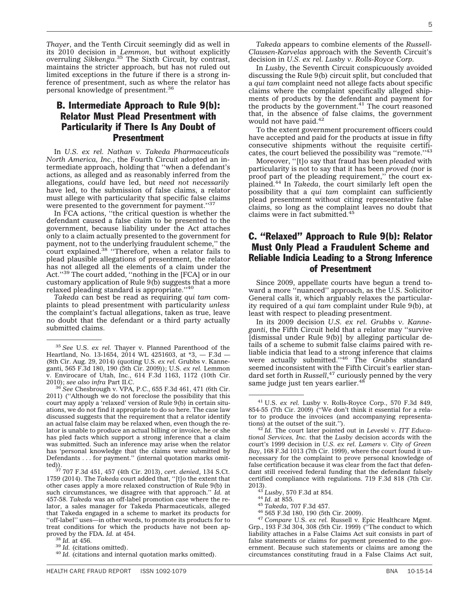*Thayer*, and the Tenth Circuit seemingly did as well in its 2010 decision in *Lemmon*, but without explicitly overruling *Sikkenga*. <sup>35</sup> The Sixth Circuit, by contrast, maintains the stricter approach, but has not ruled out limited exceptions in the future if there is a strong inference of presentment, such as where the relator has personal knowledge of presentment.36

## B. Intermediate Approach to Rule 9(b): Relator Must Plead Presentment with Particularity if There Is Any Doubt of Presentment

In *U.S. ex rel. Nathan v. Takeda Pharmaceuticals North America, Inc.*, the Fourth Circuit adopted an intermediate approach, holding that ''when a defendant's actions, as alleged and as reasonably inferred from the allegations, *could* have led, but *need not necessarily* have led, to the submission of false claims, a relator must allege with particularity that specific false claims were presented to the government for payment.''37

In FCA actions, ''the critical question is whether the defendant caused a false claim to be presented to the government, because liability under the Act attaches only to a claim actually presented to the government for payment, not to the underlying fraudulent scheme,'' the court explained.<sup>38</sup> "Therefore, when a relator fails to plead plausible allegations of presentment, the relator has not alleged all the elements of a claim under the Act."<sup>39</sup> The court added, "nothing in the [FCA] or in our customary application of Rule 9(b) suggests that a more relaxed pleading standard is appropriate.''40

*Takeda* can best be read as requiring *qui tam* complaints to plead presentment with particularity *unless* the complaint's factual allegations, taken as true, leave no doubt that the defendant or a third party actually submitted claims.

*Takeda* appears to combine elements of the *Russell-Clausen-Karvelas* approach with the Seventh Circuit's decision in *U.S. ex rel. Lusby v. Rolls-Royce Corp.*

In *Lusby*, the Seventh Circuit conspicuously avoided discussing the Rule 9(b) circuit split, but concluded that a *qui tam* complaint need not allege facts about specific claims where the complaint specifically alleged shipments of products by the defendant and payment for the products by the government. $41$  The court reasoned that, in the absence of false claims, the government would not have paid.<sup>42</sup>

To the extent government procurement officers could have accepted and paid for the products at issue in fifty consecutive shipments without the requisite certificates, the court believed the possibility was "remote."<sup>43</sup>

Moreover, ''[t]o say that fraud has been *pleaded* with particularity is not to say that it has been *proved* (nor is proof part of the pleading requirement,'' the court explained.44 In *Takeda*, the court similarly left open the possibility that a *qui tam* complaint can sufficiently plead presentment without citing representative false claims, so long as the complaint leaves no doubt that claims were in fact submitted.<sup>45</sup>

## C. ''Relaxed'' Approach to Rule 9(b): Relator Must Only Plead a Fraudulent Scheme and Reliable Indicia Leading to a Strong Inference of Presentment

Since 2009, appellate courts have begun a trend toward a more ''nuanced'' approach, as the U.S. Solicitor General calls it, which arguably relaxes the particularity required of a *qui tam* complaint under Rule 9(b), at least with respect to pleading presentment.

In its 2009 decision *U.S. ex rel. Grubbs v. Kanneganti*, the Fifth Circuit held that a relator may ''survive [dismissal under Rule 9(b)] by alleging particular details of a scheme to submit false claims paired with reliable indicia that lead to a strong inference that claims were actually submitted.''46 The *Grubbs* standard seemed inconsistent with the Fifth Circuit's earlier standard set forth in *Russell*, <sup>47</sup> curiously penned by the very same judge just ten years earlier.<sup>48</sup>

<sup>43</sup> *Lusby*, 570 F.3d at 854.<br><sup>44</sup> *Id.* at 855.<br><sup>45</sup> *Takeda*, 707 F.3d 457.<br><sup>46</sup> 565 F.3d 180, 190 (5th Cir. 2009).<br><sup>47</sup> *Compare* U.S. *ex rel.* Russell v. Epic Healthcare Mgmt. Grp., 193 F.3d 304, 308 (5th Cir. 1999) (''The conduct to which liability attaches in a False Claims Act suit consists in part of false statements or claims for payment presented to the government. Because such statements or claims are among the circumstances constituting fraud in a False Claims Act suit,

<sup>35</sup> *See* U.S. *ex rel.* Thayer v. Planned Parenthood of the Heartland, No. 13-1654, 2014 WL 4251603, at \*3, — F.3d — (8th Cir. Aug. 29, 2014) (quoting U.S. *ex rel.* Grubbs v. Kanneganti, 565 F.3d 180, 190 (5th Cir. 2009)); U.S. *ex rel.* Lemmon v. Envirocare of Utah, Inc., 614 F.3d 1163, 1172 (10th Cir. 2010); see also infra Part II.C.

See Chesbrough v. VPA, P.C., 655 F.3d 461, 471 (6th Cir. 2011) (''Although we do not foreclose the possibility that this court may apply a 'relaxed' version of Rule 9(b) in certain situations, we do not find it appropriate to do so here. The case law discussed suggests that the requirement that a relator identify an actual false claim may be relaxed when, even though the relator is unable to produce an actual billing or invoice, he or she has pled facts which support a strong inference that a claim was submitted. Such an inference may arise when the relator has 'personal knowledge that the claims were submitted by Defendants . . . for payment.'' (internal quotation marks omit-

ted)). <sup>37</sup> 707 F.3d 451, 457 (4th Cir. 2013), *cert. denied*, 134 S.Ct. 1759 (2014). The *Takeda* court added that, ''[t]o the extent that other cases apply a more relaxed construction of Rule 9(b) in such circumstances, we disagree with that approach.'' *Id.* at 457-58. *Takeda* was an off-label promotion case where the relator, a sales manager for Takeda Pharmaceuticals, alleged that Takeda engaged in a scheme to market its products for ''off-label'' uses—in other words, to promote its products for to treat conditions for which the products have not been ap-<br>proved by the FDA. Id. at 454.

<sup>&</sup>lt;sup>38</sup> *Id.* at 456.<br><sup>39</sup> *Id.* (citations omitted). <sup>40</sup> *Id.* (citations and internal quotation marks omitted).

<sup>41</sup> U.S. *ex rel.* Lusby v. Rolls-Royce Corp., 570 F.3d 849, 854-55 (7th Cir. 2009) (''We don't think it essential for a relator to produce the invoices (and accompanying representations) at the outset of the suit.").

<sup>&</sup>lt;sup>42</sup> Id. The court later pointed out in *Leveski v. ITT Educational Services, Inc.* that the *Lusby* decision accords with the court's 1999 decision in *U.S. ex rel. Lamers v. City of Green Bay*, 168 F.3d 1013 (7th Cir. 1999), where the court found it unnecessary for the complaint to prove personal knowledge of false certification because it was clear from the fact that defendant still received federal funding that the defendant falsely certified compliance with regulations. 719 F.3d 818 (7th Cir.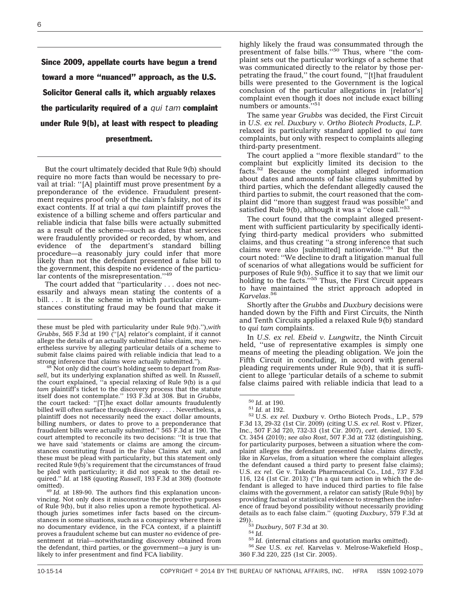Since 2009, appellate courts have begun a trend toward a more ''nuanced'' approach, as the U.S. Solicitor General calls it, which arguably relaxes the particularity required of a *qui tam* complaint under Rule 9(b), at least with respect to pleading presentment.

But the court ultimately decided that Rule 9(b) should require no more facts than would be necessary to prevail at trial: ''[A] plaintiff must prove presentment by a preponderance of the evidence. Fraudulent presentment requires proof only of the claim's falsity, not of its exact contents. If at trial a *qui tam* plaintiff proves the existence of a billing scheme and offers particular and reliable indicia that false bills were actually submitted as a result of the scheme—such as dates that services were fraudulently provided or recorded, by whom, and evidence of the department's standard billing procedure—a reasonably jury could infer that more likely than not the defendant presented a false bill to the government, this despite no evidence of the particular contents of the misrepresentation."<sup>49</sup>

The court added that ''particularity . . . does not necessarily and always mean stating the contents of a bill.... It is the scheme in which particular circumstances constituting fraud may be found that make it

<sup>49</sup> *Id.* at 189-90. The authors find this explanation unconvincing. Not only does it misconstrue the protective purposes of Rule 9(b), but it also relies upon a remote hypothetical. Although juries sometimes infer facts based on the circumstances in some situations, such as a conspiracy where there is no documentary evidence, in the FCA context, if a plaintiff proves a fraudulent scheme but can muster *no* evidence of presentment at trial—notwithstanding discovery obtained from the defendant, third parties, or the government—a jury is unlikely to infer presentment and find FCA liability.

highly likely the fraud was consummated through the<br>presentment of false bills.''<sup>50</sup> Thus, where "the complaint sets out the particular workings of a scheme that was communicated directly to the relator by those perpetrating the fraud,'' the court found, ''[t]hat fraudulent bills were presented to the Government is the logical conclusion of the particular allegations in [relator's] complaint even though it does not include exact billing numbers or amounts."<sup>51</sup>

The same year *Grubbs* was decided, the First Circuit in *U.S. ex rel. Duxbury v. Ortho Biotech Products, L.P.* relaxed its particularity standard applied to *qui tam* complaints, but only with respect to complaints alleging third-party presentment.

The court applied a ''more flexible standard'' to the complaint but explicitly limited its decision to the facts.52 Because the complaint alleged information about dates and amounts of false claims submitted by third parties, which the defendant allegedly caused the third parties to submit, the court reasoned that the complaint did ''more than suggest fraud was possible'' and satisfied Rule 9(b), although it was a "close call."<sup>53</sup>

The court found that the complaint alleged presentment with sufficient particularity by specifically identifying third-party medical providers who submitted claims, and thus creating ''a strong inference that such claims were also [submitted] nationwide."<sup>54</sup> But the court noted: ''We decline to draft a litigation manual full of scenarios of what allegations would be sufficient for purposes of Rule 9(b). Suffice it to say that we limit our holding to the facts."<sup>55</sup> Thus, the First Circuit appears to have maintained the strict approach adopted in *Karvelas*. 56

Shortly after the *Grubbs* and *Duxbury* decisions were handed down by the Fifth and First Circuits, the Ninth and Tenth Circuits applied a relaxed Rule 9(b) standard to *qui tam* complaints.

In *U.S. ex rel. Ebeid v. Lungwitz*, the Ninth Circuit held, ''use of representative examples is simply one means of meeting the pleading obligation. We join the Fifth Circuit in concluding, in accord with general pleading requirements under Rule 9(b), that it is sufficient to allege 'particular details of a scheme to submit false claims paired with reliable indicia that lead to a

<sup>50</sup> *Id.* at 190. <sup>51</sup> *Id.* at 192. <sup>52</sup> U.S. *ex rel.* Duxbury v. Ortho Biotech Prods., L.P., 579 F.3d 13, 29-32 (1st Cir. 2009) (citing U.S. *ex rel.* Rost v. Pfizer, Inc., 507 F.3d 720, 732-33 (1st Cir. 2007), *cert. denied*, 130 S. Ct. 3454 (2010); *see also Rost*, 507 F.3d at 732 (distinguishing, for particularity purposes, between a situation where the complaint alleges the defendant presented false claims directly, like in *Karvelas*, from a situation where the complaint alleges the defendant caused a third party to present false claims); U.S. *ex rel.* Ge v. Takeda Pharmaceutical Co., Ltd., 737 F.3d 116, 124 (1st Cir. 2013) (''In a qui tam action in which the defendant is alleged to have induced third parties to file false claims with the government, a relator can satisfy [Rule 9(b)] by providing factual or statistical evidence to strengthen the inference of fraud beyond possibility without necessarily providing details as to each false claim.'' (quoting *Duxbury*, 579 F.3d at

29)).<br><sup>53</sup> *Duxbury*, 507 F.3d at 30.<br><sup>54</sup> *Id.* (internal citations and quotation marks omitted).<br><sup>56</sup> *See* U.S. *ex rel.* Karvelas v. Melrose-Wakefield Hosp., 360 F.3d 220, 225 (1st Cir. 2005).

these must be pled with particularity under Rule 9(b).'')*,with Grubbs*, 565 F.3d at 190 (''[A] relator's complaint, if it cannot allege the details of an actually submitted false claim, may nevertheless survive by alleging particular details of a scheme to submit false claims paired with reliable indicia that lead to a strong inference that claims were actually submitted.''). <sup>48</sup> Not only did the court's holding seem to depart from *Rus-*

*sell*, but its underlying explanation shifted as well. In *Russell*, the court explained, ''a special relaxing of Rule 9(b) is a *qui tam* plaintiff's ticket to the discovery process that the statute itself does not contemplate.'' 193 F.3d at 308. But in *Grubbs*, the court tacked: ''[T]he exact dollar amounts fraudulently billed will often surface through discovery . . . . Nevertheless, a plaintiff does not necessarily need the exact dollar amounts, billing numbers, or dates to prove to a preponderance that fraudulent bills were actually submitted.'' 565 F.3d at 190. The court attempted to reconcile its two decisions: ''It is true that we have said 'statements or claims are among the circumstances constituting fraud in the False Claims Act suit, and these must be plead with particularity, but this statement only recited Rule  $9(b)$ 's requirement that the circumstances of fraud be pled with particularity; it did not speak to the detail required.'' *Id.* at 188 (quoting *Russell*, 193 F.3d at 308) (footnote